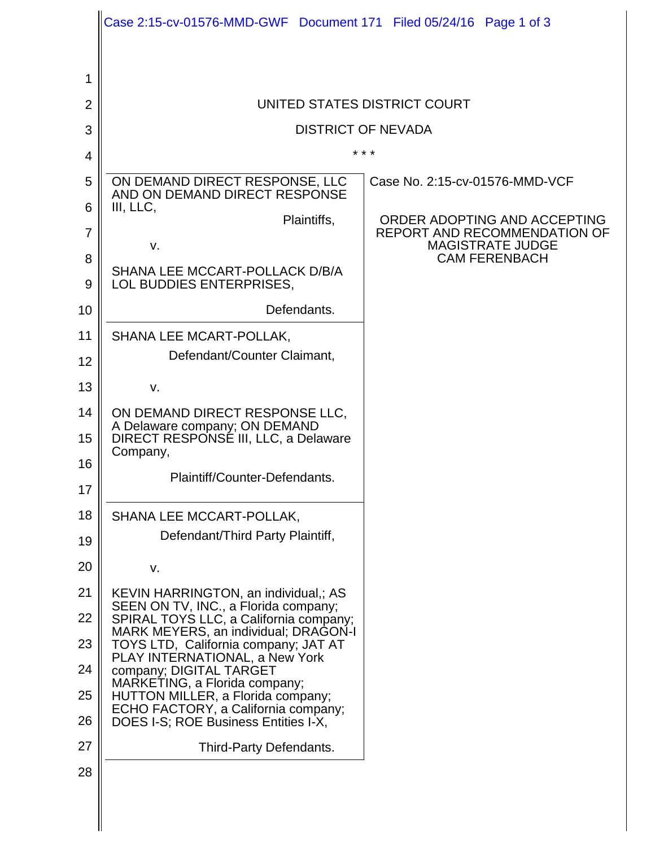|                | Case 2:15-cv-01576-MMD-GWF Document 171 Filed 05/24/16 Page 1 of 3             |                                                         |
|----------------|--------------------------------------------------------------------------------|---------------------------------------------------------|
|                |                                                                                |                                                         |
| 1              |                                                                                |                                                         |
| $\overline{2}$ | UNITED STATES DISTRICT COURT                                                   |                                                         |
| 3              | <b>DISTRICT OF NEVADA</b>                                                      |                                                         |
| 4              | * * *                                                                          |                                                         |
| 5              | ON DEMAND DIRECT RESPONSE, LLC<br>AND ON DEMAND DIRECT RESPONSE                | Case No. 2:15-cv-01576-MMD-VCF                          |
| 6              | III, LLC,<br>Plaintiffs,                                                       | ORDER ADOPTING AND ACCEPTING                            |
| $\overline{7}$ | v.                                                                             | REPORT AND RECOMMENDATION OF<br><b>MAGISTRATE JUDGE</b> |
| 8              | SHANA LEE MCCART-POLLACK D/B/A                                                 | <b>CAM FERENBACH</b>                                    |
| 9              | LOL BUDDIES ENTERPRISES,                                                       |                                                         |
| 10             | Defendants.                                                                    |                                                         |
| 11             | SHANA LEE MCART-POLLAK,<br>Defendant/Counter Claimant,                         |                                                         |
| 12             |                                                                                |                                                         |
| 13             | v.                                                                             |                                                         |
| 14             | ON DEMAND DIRECT RESPONSE LLC,<br>A Delaware company; ON DEMAND                |                                                         |
| 15             | DIRECT RESPONSÉ III, LLC, a Delaware<br>Company,                               |                                                         |
| 16             | Plaintiff/Counter-Defendants.                                                  |                                                         |
| 17             |                                                                                |                                                         |
| 18             | SHANA LEE MCCART-POLLAK,                                                       |                                                         |
| 19             | Defendant/Third Party Plaintiff,                                               |                                                         |
| 20             | v.                                                                             |                                                         |
| 21             | KEVIN HARRINGTON, an individual,; AS<br>SEEN ON TV, INC., a Florida company;   |                                                         |
| 22             | SPIRAL TOYS LLC, a California company;<br>MARK MEYERS, an individual; DRAGON-I |                                                         |
| 23             | TOYS LTD, California company; JAT AT<br>PLAY INTERNATIONAL, a New York         |                                                         |
| 24             | company; DIGITAL TARGET<br>MARKETING, a Florida company;                       |                                                         |
| 25             | HUTTON MILLER, a Florida company;<br>ECHO FACTORY, a California company;       |                                                         |
| 26             | DOES I-S; ROE Business Entities I-X,                                           |                                                         |
| 27             | Third-Party Defendants.                                                        |                                                         |
| 28             |                                                                                |                                                         |
|                |                                                                                |                                                         |

 $\mathsf{I}$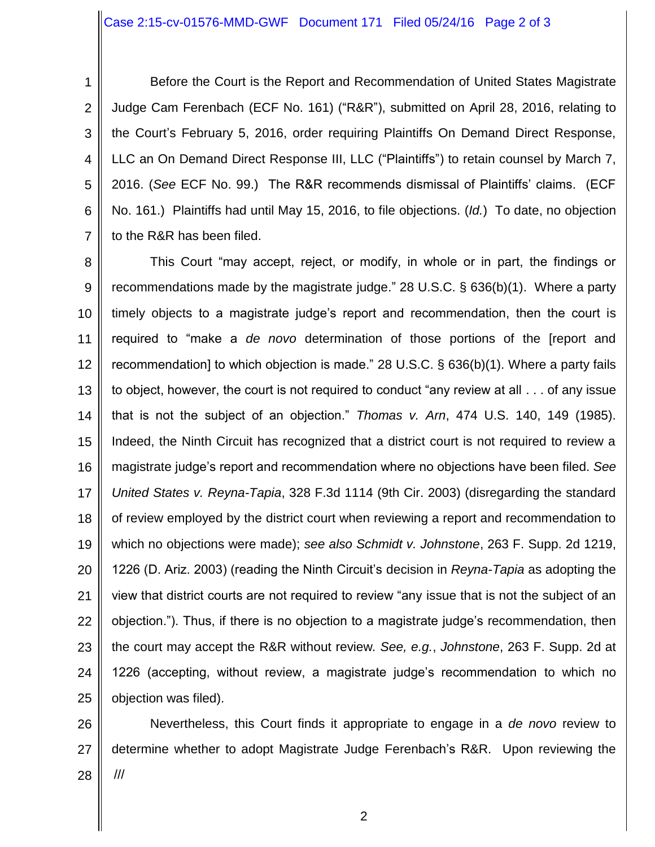1 2 3 4 5 6 7 Before the Court is the Report and Recommendation of United States Magistrate Judge Cam Ferenbach (ECF No. 161) ("R&R"), submitted on April 28, 2016, relating to the Court's February 5, 2016, order requiring Plaintiffs On Demand Direct Response, LLC an On Demand Direct Response III, LLC ("Plaintiffs") to retain counsel by March 7, 2016. (*See* ECF No. 99.) The R&R recommends dismissal of Plaintiffs' claims. (ECF No. 161.) Plaintiffs had until May 15, 2016, to file objections. (*Id.*) To date, no objection to the R&R has been filed.

8 9 10 11 12 13 14 15 16 17 18 19 20 21 22 23 24 25 This Court "may accept, reject, or modify, in whole or in part, the findings or recommendations made by the magistrate judge." 28 U.S.C. § 636(b)(1). Where a party timely objects to a magistrate judge's report and recommendation, then the court is required to "make a *de novo* determination of those portions of the [report and recommendation] to which objection is made." 28 U.S.C. § 636(b)(1). Where a party fails to object, however, the court is not required to conduct "any review at all . . . of any issue that is not the subject of an objection." *Thomas v. Arn*, 474 U.S. 140, 149 (1985). Indeed, the Ninth Circuit has recognized that a district court is not required to review a magistrate judge's report and recommendation where no objections have been filed. *See United States v. Reyna-Tapia*, 328 F.3d 1114 (9th Cir. 2003) (disregarding the standard of review employed by the district court when reviewing a report and recommendation to which no objections were made); *see also Schmidt v. Johnstone*, 263 F. Supp. 2d 1219, 1226 (D. Ariz. 2003) (reading the Ninth Circuit's decision in *Reyna-Tapia* as adopting the view that district courts are not required to review "any issue that is not the subject of an objection."). Thus, if there is no objection to a magistrate judge's recommendation, then the court may accept the R&R without review*. See, e.g.*, *Johnstone*, 263 F. Supp. 2d at 1226 (accepting, without review, a magistrate judge's recommendation to which no objection was filed).

26 27 28 Nevertheless, this Court finds it appropriate to engage in a *de novo* review to determine whether to adopt Magistrate Judge Ferenbach's R&R. Upon reviewing the ///

2